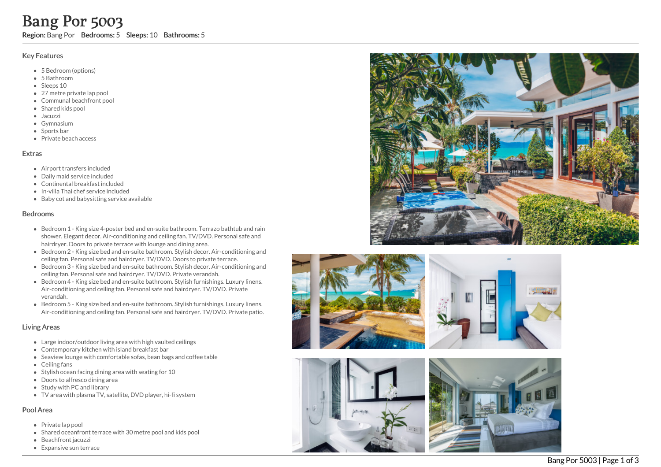## Key Features

- 5 Bedroom (options)
- 5 B a t h r o o m
- Sleeps 10
- 27 metre private lap pool
- Communal beachfront po ol
- Shared kids pool
- Jacuzzi
- Gymnasium
- Sports bar
- Private beach access

## **Extras**

- Airport transfers included
- D aily m aid s e r vic e in clu d e d
- Continental breakfast included
- In-villa Thai chef service include d
- Baby cot and babysitting service available

## **Bedrooms**

- Bedroom 1 King size 4-poster bed and en-suite bathroom. Terrazo bathtub and rain shower. Elegant decor. Air-conditioning and ceiling fan. TV/DVD. Personal safe and hairdryer. Doors to private terrace with lounge and dining area. **Expansive Supply Transforms:** Sleeps: 10 Bath**rooms: 5**<br>
Key Features<br>
• 5 Bedroom (options)<br>
• 5 Bedroom (options)<br>
• Sleeps 10<br>
• 2 Zmete private lap pool<br>
• 2 Zmete Bang Mathroof pool<br>
• Sleeps 10<br>
• Communal beachfron
	- Bedroom 2 King size bed and en-suite bathroom. Stylish decor. Air-conditioning and ceiling fan. Personal safe and hairdryer. TV/DVD. Doors to private terrace.
	- Bedroom 3 King size bed and en-suite bathroom. Stylish decor. Air-conditioning and ceiling fan. Personal safe and hairdryer. TV/DVD. Private verandah.
	- Bedroom 4 King size bed and en-suite bathroom. Stylish furnishings. Luxury linens. Air-conditioning and ceiling fan. Personal safe and hairdryer. TV/DVD. Private verandah.
	- Bedroom 5 King size bed and en-suite bathroom. Stylish furnishings. Luxury linens. Air-conditioning and ceiling fan. Personal safe and hairdryer. TV/DVD. Private patio.

## Living Areas

- Large indoor/outdoor living area with high vaulted ceilings
- Contemporary kitchen with island breakfast bar
- Seaview lounge with comfortable sofas, bean bags and coffee table
- Ceiling fans
- Stylish ocean facing dining area with seating for 10
- Doors to alfresco dining area
- Study with PC and library
- TV area with plasma TV, satellite, DVD player, hi-fi system

# Pool Area

- Private lap pool
- Shared oceanfront terrace with 30 metre pool and kids pool
- Beachfront jacuzzi
- 







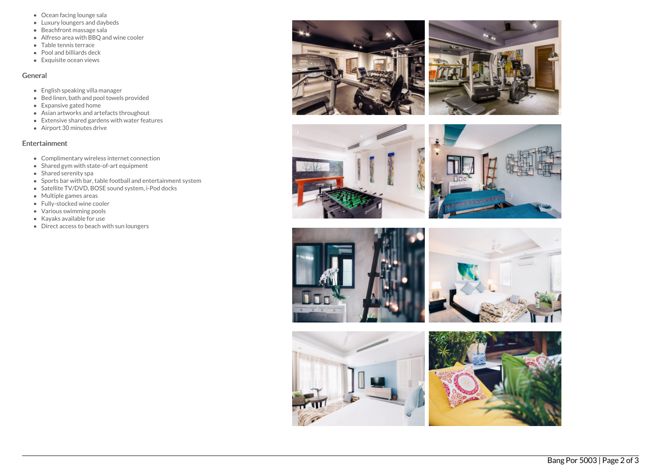- Ocean facing lounge sala
- Luxury loungers and daybeds
- Beachfront massage sala
- Alfreso area with BBQ and wine cooler
- Table tennis terrace
- Pool and billiards deck
- Exquisite ocean views

#### General

- English speaking villa manager
- $\bullet$  Bed linen, bath and pool towels provided
- Expansive gated home
- Asian artworks and artefacts throughout
- Extensive shared gardens with water features
- Airport 30 minutes drive

## Entertainment

- Complimentary wireless internet connection
- Shared gym with state-of-art equipment
- Shared serenity spa
- Sports bar with bar, table football and entertainment system
- Satellite TV/DVD, BOSE sound system, i-Pod docks
- Multiple games areas
- Fully-stocked wine cooler
- Various swimming pools
- Kayaks available for use
- Direct access to beach with sun loungers